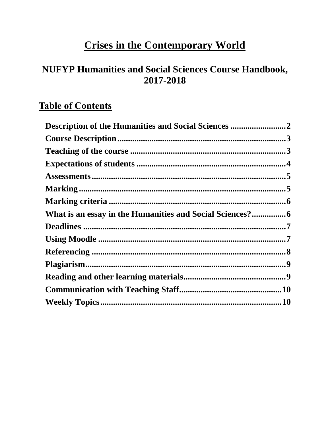# **Crises in the Contemporary World**

## **NUFYP Humanities and Social Sciences Course Handbook,** 2017-2018

## **Table of Contents**

| Description of the Humanities and Social Sciences 2 |  |
|-----------------------------------------------------|--|
|                                                     |  |
|                                                     |  |
|                                                     |  |
|                                                     |  |
|                                                     |  |
|                                                     |  |
|                                                     |  |
|                                                     |  |
|                                                     |  |
|                                                     |  |
|                                                     |  |
|                                                     |  |
|                                                     |  |
|                                                     |  |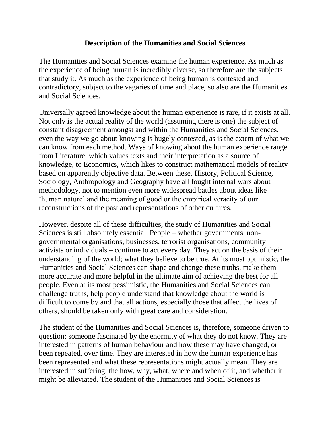#### **Description of the Humanities and Social Sciences**

<span id="page-1-0"></span>The Humanities and Social Sciences examine the human experience. As much as the experience of being human is incredibly diverse, so therefore are the subjects that study it. As much as the experience of being human is contested and contradictory, subject to the vagaries of time and place, so also are the Humanities and Social Sciences.

Universally agreed knowledge about the human experience is rare, if it exists at all. Not only is the actual reality of the world (assuming there is one) the subject of constant disagreement amongst and within the Humanities and Social Sciences, even the way we go about knowing is hugely contested, as is the extent of what we can know from each method. Ways of knowing about the human experience range from Literature, which values texts and their interpretation as a source of knowledge, to Economics, which likes to construct mathematical models of reality based on apparently objective data. Between these, History, Political Science, Sociology, Anthropology and Geography have all fought internal wars about methodology, not to mention even more widespread battles about ideas like 'human nature' and the meaning of good or the empirical veracity of our reconstructions of the past and representations of other cultures.

However, despite all of these difficulties, the study of Humanities and Social Sciences is still absolutely essential. People – whether governments, nongovernmental organisations, businesses, terrorist organisations, community activists or individuals – continue to act every day. They act on the basis of their understanding of the world; what they believe to be true. At its most optimistic, the Humanities and Social Sciences can shape and change these truths, make them more accurate and more helpful in the ultimate aim of achieving the best for all people. Even at its most pessimistic, the Humanities and Social Sciences can challenge truths, help people understand that knowledge about the world is difficult to come by and that all actions, especially those that affect the lives of others, should be taken only with great care and consideration.

The student of the Humanities and Social Sciences is, therefore, someone driven to question; someone fascinated by the enormity of what they do not know. They are interested in patterns of human behaviour and how these may have changed, or been repeated, over time. They are interested in how the human experience has been represented and what these representations might actually mean. They are interested in suffering, the how, why, what, where and when of it, and whether it might be alleviated. The student of the Humanities and Social Sciences is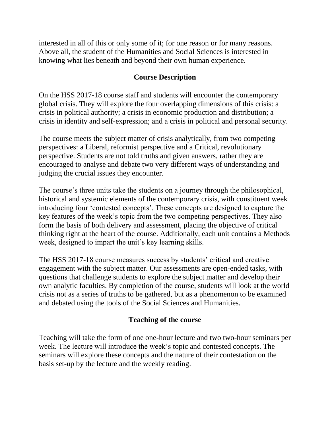interested in all of this or only some of it; for one reason or for many reasons. Above all, the student of the Humanities and Social Sciences is interested in knowing what lies beneath and beyond their own human experience.

#### **Course Description**

<span id="page-2-0"></span>On the HSS 2017-18 course staff and students will encounter the contemporary global crisis. They will explore the four overlapping dimensions of this crisis: a crisis in political authority; a crisis in economic production and distribution; a crisis in identity and self-expression; and a crisis in political and personal security.

The course meets the subject matter of crisis analytically, from two competing perspectives: a Liberal, reformist perspective and a Critical, revolutionary perspective. Students are not told truths and given answers, rather they are encouraged to analyse and debate two very different ways of understanding and judging the crucial issues they encounter.

The course's three units take the students on a journey through the philosophical, historical and systemic elements of the contemporary crisis, with constituent week introducing four 'contested concepts'. These concepts are designed to capture the key features of the week's topic from the two competing perspectives. They also form the basis of both delivery and assessment, placing the objective of critical thinking right at the heart of the course. Additionally, each unit contains a Methods week, designed to impart the unit's key learning skills.

The HSS 2017-18 course measures success by students' critical and creative engagement with the subject matter. Our assessments are open-ended tasks, with questions that challenge students to explore the subject matter and develop their own analytic faculties. By completion of the course, students will look at the world crisis not as a series of truths to be gathered, but as a phenomenon to be examined and debated using the tools of the Social Sciences and Humanities.

#### **Teaching of the course**

<span id="page-2-1"></span>Teaching will take the form of one one-hour lecture and two two-hour seminars per week. The lecture will introduce the week's topic and contested concepts. The seminars will explore these concepts and the nature of their contestation on the basis set-up by the lecture and the weekly reading.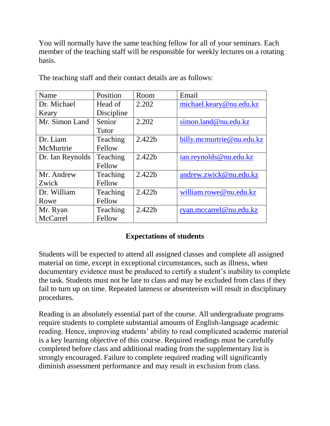You will normally have the same teaching fellow for all of your seminars. Each member of the teaching staff will be responsible for weekly lectures on a rotating basis.

| Name             | Position   | Room               | Email                     |
|------------------|------------|--------------------|---------------------------|
| Dr. Michael      | Head of    | 2.202              | michael.keary@nu.edu.kz   |
| Keary            | Discipline |                    |                           |
| Mr. Simon Land   | Senior     | 2.202              | simon.land@nu.edu.kz      |
|                  | Tutor      |                    |                           |
| Dr. Liam         | Teaching   | 2.422 <sub>b</sub> | billy.mcmurtrie@nu.edu.kz |
| McMurtrie        | Fellow     |                    |                           |
| Dr. Ian Reynolds | Teaching   | 2.422h             | ian.reynolds@nu.edu.kz    |
|                  | Fellow     |                    |                           |
| Mr. Andrew       | Teaching   | 2.422h             | andrew.zwick@nu.edu.kz    |
| Zwick            | Fellow     |                    |                           |
| Dr. William      | Teaching   | 2.422 <sub>b</sub> | william.rowe@nu.edu.kz    |
| Rowe             | Fellow     |                    |                           |
| Mr. Ryan         | Teaching   | 2.422 <sub>b</sub> | ryan.mccarrel@nu.edu.kz   |
| McCarrel         | Fellow     |                    |                           |

The teaching staff and their contact details are as follows:

## **Expectations of students**

<span id="page-3-0"></span>Students will be expected to attend all assigned classes and complete all assigned material on time, except in exceptional circumstances, such as illness, when documentary evidence must be produced to certify a student's inability to complete the task. Students must not be late to class and may be excluded from class if they fail to turn up on time. Repeated lateness or absenteeism will result in disciplinary procedures.

Reading is an absolutely essential part of the course. All undergraduate programs require students to complete substantial amounts of English-language academic reading. Hence, improving students' ability to read complicated academic material is a key learning objective of this course. Required readings must be carefully completed before class and additional reading from the supplementary list is strongly encouraged. Failure to complete required reading will significantly diminish assessment performance and may result in exclusion from class.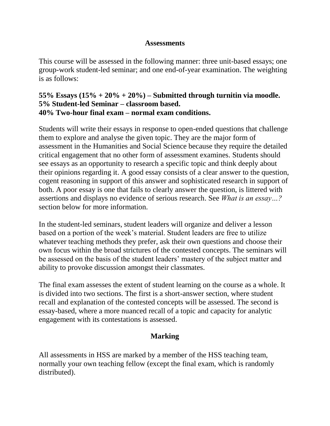#### **Assessments**

<span id="page-4-0"></span>This course will be assessed in the following manner: three unit-based essays; one group-work student-led seminar; and one end-of-year examination. The weighting is as follows:

#### **55% Essays (15% + 20% + 20%) – Submitted through turnitin via moodle. 5% Student-led Seminar – classroom based. 40% Two-hour final exam – normal exam conditions.**

Students will write their essays in response to open-ended questions that challenge them to explore and analyse the given topic. They are the major form of assessment in the Humanities and Social Science because they require the detailed critical engagement that no other form of assessment examines. Students should see essays as an opportunity to research a specific topic and think deeply about their opinions regarding it. A good essay consists of a clear answer to the question, cogent reasoning in support of this answer and sophisticated research in support of both. A poor essay is one that fails to clearly answer the question, is littered with assertions and displays no evidence of serious research. See *What is an essay…?*  section below for more information.

In the student-led seminars, student leaders will organize and deliver a lesson based on a portion of the week's material. Student leaders are free to utilize whatever teaching methods they prefer, ask their own questions and choose their own focus within the broad strictures of the contested concepts. The seminars will be assessed on the basis of the student leaders' mastery of the subject matter and ability to provoke discussion amongst their classmates.

The final exam assesses the extent of student learning on the course as a whole. It is divided into two sections. The first is a short-answer section, where student recall and explanation of the contested concepts will be assessed. The second is essay-based, where a more nuanced recall of a topic and capacity for analytic engagement with its contestations is assessed.

## **Marking**

<span id="page-4-1"></span>All assessments in HSS are marked by a member of the HSS teaching team, normally your own teaching fellow (except the final exam, which is randomly distributed).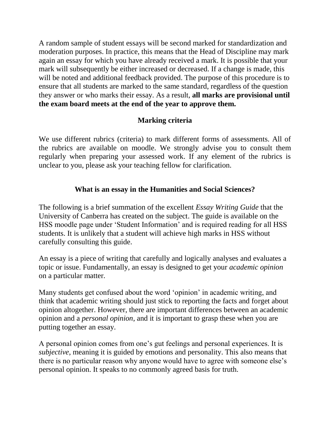A random sample of student essays will be second marked for standardization and moderation purposes. In practice, this means that the Head of Discipline may mark again an essay for which you have already received a mark. It is possible that your mark will subsequently be either increased or decreased. If a change is made, this will be noted and additional feedback provided. The purpose of this procedure is to ensure that all students are marked to the same standard, regardless of the question they answer or who marks their essay. As a result, **all marks are provisional until the exam board meets at the end of the year to approve them.**

## **Marking criteria**

<span id="page-5-0"></span>We use different rubrics (criteria) to mark different forms of assessments. All of the rubrics are available on moodle. We strongly advise you to consult them regularly when preparing your assessed work. If any element of the rubrics is unclear to you, please ask your teaching fellow for clarification.

#### **What is an essay in the Humanities and Social Sciences?**

<span id="page-5-1"></span>The following is a brief summation of the excellent *Essay Writing Guide* that the University of Canberra has created on the subject. The guide is available on the HSS moodle page under 'Student Information' and is required reading for all HSS students. It is unlikely that a student will achieve high marks in HSS without carefully consulting this guide.

An essay is a piece of writing that carefully and logically analyses and evaluates a topic or issue. Fundamentally, an essay is designed to get your *academic opinion* on a particular matter.

Many students get confused about the word 'opinion' in academic writing, and think that academic writing should just stick to reporting the facts and forget about opinion altogether. However, there are important differences between an academic opinion and a *personal opinion*, and it is important to grasp these when you are putting together an essay.

A personal opinion comes from one's gut feelings and personal experiences. It is *subjective*, meaning it is guided by emotions and personality. This also means that there is no particular reason why anyone would have to agree with someone else's personal opinion. It speaks to no commonly agreed basis for truth.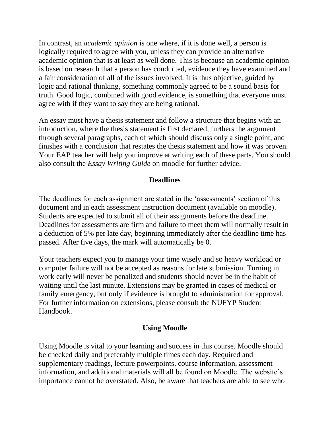In contrast, an *academic opinion* is one where, if it is done well, a person is logically required to agree with you, unless they can provide an alternative academic opinion that is at least as well done. This is because an academic opinion is based on research that a person has conducted, evidence they have examined and a fair consideration of all of the issues involved. It is thus objective, guided by logic and rational thinking, something commonly agreed to be a sound basis for truth. Good logic, combined with good evidence, is something that everyone must agree with if they want to say they are being rational.

An essay must have a thesis statement and follow a structure that begins with an introduction, where the thesis statement is first declared, furthers the argument through several paragraphs, each of which should discuss only a single point, and finishes with a conclusion that restates the thesis statement and how it was proven. Your EAP teacher will help you improve at writing each of these parts. You should also consult the *Essay Writing Guide* on moodle for further advice.

## **Deadlines**

<span id="page-6-0"></span>The deadlines for each assignment are stated in the 'assessments' section of this document and in each assessment instruction document (available on moodle). Students are expected to submit all of their assignments before the deadline. Deadlines for assessments are firm and failure to meet them will normally result in a deduction of 5% per late day, beginning immediately after the deadline time has passed. After five days, the mark will automatically be 0.

Your teachers expect you to manage your time wisely and so heavy workload or computer failure will not be accepted as reasons for late submission. Turning in work early will never be penalized and students should never be in the habit of waiting until the last minute. Extensions may be granted in cases of medical or family emergency, but only if evidence is brought to administration for approval. For further information on extensions, please consult the NUFYP Student Handbook.

## **Using Moodle**

<span id="page-6-1"></span>Using Moodle is vital to your learning and success in this course. Moodle should be checked daily and preferably multiple times each day. Required and supplementary readings, lecture powerpoints, course information, assessment information, and additional materials will all be found on Moodle. The website's importance cannot be overstated. Also, be aware that teachers are able to see who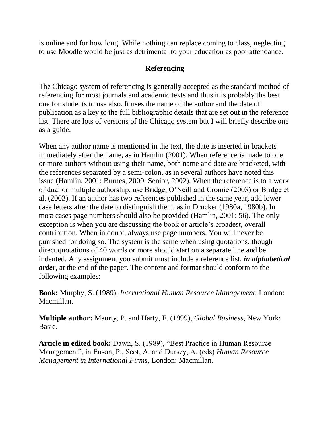is online and for how long. While nothing can replace coming to class, neglecting to use Moodle would be just as detrimental to your education as poor attendance.

#### **Referencing**

<span id="page-7-0"></span>The Chicago system of referencing is generally accepted as the standard method of referencing for most journals and academic texts and thus it is probably the best one for students to use also. It uses the name of the author and the date of publication as a key to the full bibliographic details that are set out in the reference list. There are lots of versions of the Chicago system but I will briefly describe one as a guide.

When any author name is mentioned in the text*,* the date is inserted in brackets immediately after the name, as in Hamlin (2001). When reference is made to one or more authors without using their name, both name and date are bracketed, with the references separated by a semi-colon, as in several authors have noted this issue (Hamlin, 2001; Burnes, 2000; Senior, 2002). When the reference is to a work of dual or multiple authorship, use Bridge, O'Neill and Cromie (2003) or Bridge et al. (2003). If an author has two references published in the same year, add lower case letters after the date to distinguish them, as in Drucker (1980a, 1980b). In most cases page numbers should also be provided (Hamlin, 2001: 56). The only exception is when you are discussing the book or article's broadest, overall contribution. When in doubt, always use page numbers. You will never be punished for doing so. The system is the same when using quotations, though direct quotations of 40 words or more should start on a separate line and be indented. Any assignment you submit must include a reference list, *in alphabetical order*, at the end of the paper. The content and format should conform to the following examples:

**Book:** Murphy, S. (1989), *International Human Resource Management,* London: Macmillan.

**Multiple author:** Maurty, P. and Harty, F. (1999), *Global Business,* New York: Basic.

**Article in edited book:** Dawn, S. (1989), "Best Practice in Human Resource Management", in Enson, P., Scot, A. and Dursey, A. (eds) *Human Resource Management in International Firms,* London: Macmillan.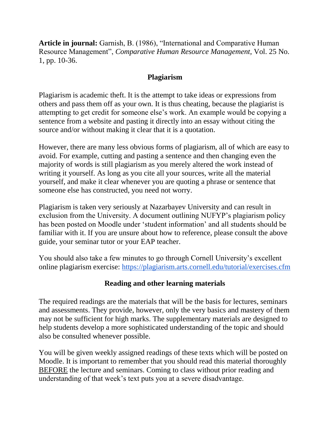**Article in journal:** Garnish, B. (1986), "International and Comparative Human Resource Management", *Comparative Human Resource Management*, Vol. 25 No. 1, pp. 10-36.

#### **Plagiarism**

<span id="page-8-0"></span>Plagiarism is academic theft. It is the attempt to take ideas or expressions from others and pass them off as your own. It is thus cheating, because the plagiarist is attempting to get credit for someone else's work. An example would be copying a sentence from a website and pasting it directly into an essay without citing the source and/or without making it clear that it is a quotation.

However, there are many less obvious forms of plagiarism, all of which are easy to avoid. For example, cutting and pasting a sentence and then changing even the majority of words is still plagiarism as you merely altered the work instead of writing it yourself. As long as you cite all your sources, write all the material yourself, and make it clear whenever you are quoting a phrase or sentence that someone else has constructed, you need not worry.

Plagiarism is taken very seriously at Nazarbayev University and can result in exclusion from the University. A document outlining NUFYP's plagiarism policy has been posted on Moodle under 'student information' and all students should be familiar with it. If you are unsure about how to reference, please consult the above guide, your seminar tutor or your EAP teacher.

You should also take a few minutes to go through Cornell University's excellent online plagiarism exercise:<https://plagiarism.arts.cornell.edu/tutorial/exercises.cfm>

## **Reading and other learning materials**

<span id="page-8-1"></span>The required readings are the materials that will be the basis for lectures, seminars and assessments. They provide, however, only the very basics and mastery of them may not be sufficient for high marks. The supplementary materials are designed to help students develop a more sophisticated understanding of the topic and should also be consulted whenever possible.

You will be given weekly assigned readings of these texts which will be posted on Moodle. It is important to remember that you should read this material thoroughly BEFORE the lecture and seminars. Coming to class without prior reading and understanding of that week's text puts you at a severe disadvantage.